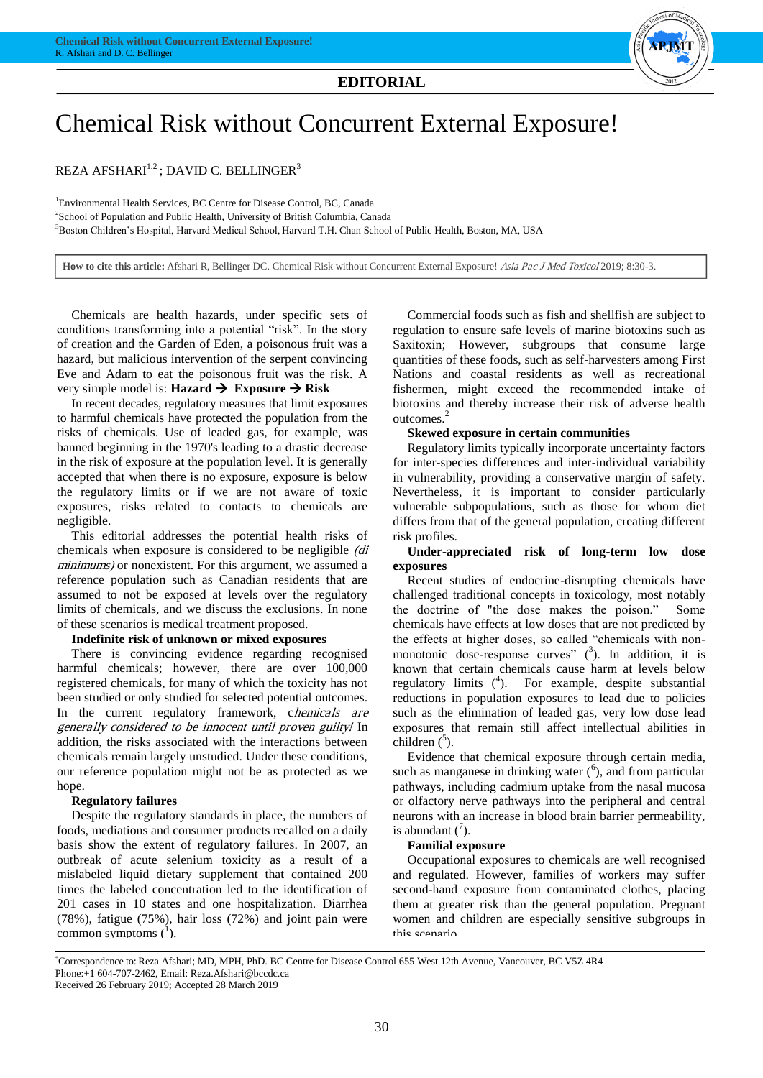

# Chemical Risk without Concurrent External Exposure!

REZA AFSHARI<sup>1,2</sup>; DAVID C. BELLINGER<sup>3</sup>

<sup>1</sup>Environmental Health Services, BC Centre for Disease Control, BC, Canada <sup>2</sup>School of Population and Public Health, University of British Columbia, Canada <sup>3</sup>Boston Children's Hospital, Harvard Medical School, Harvard T.H. Chan School of Public Health, Boston, MA, USA

**How to cite this article:** Afshari R, Bellinger DC. Chemical Risk without Concurrent External Exposure! Asia Pac J Med Toxicol 2019; 8:30-3.

Chemicals are health hazards, under specific sets of conditions transforming into a potential "risk". In the story of creation and the Garden of Eden, a poisonous fruit was a hazard, but malicious intervention of the serpent convincing Eve and Adam to eat the poisonous fruit was the risk. A very simple model is: **Hazard Exposure Risk**

In recent decades, regulatory measures that limit exposures to harmful chemicals have protected the population from the risks of chemicals. Use of leaded gas, for example, was banned beginning in the 1970's leading to a drastic decrease in the risk of exposure at the population level. It is generally accepted that when there is no exposure, exposure is below the regulatory limits or if we are not aware of toxic exposures, risks related to contacts to chemicals are negligible.

This editorial addresses the potential health risks of chemicals when exposure is considered to be negligible (di minimums) or nonexistent. For this argument, we assumed a reference population such as Canadian residents that are assumed to not be exposed at levels over the regulatory limits of chemicals, and we discuss the exclusions. In none of these scenarios is medical treatment proposed.

#### **Indefinite risk of unknown or mixed exposures**

There is convincing evidence regarding recognised harmful chemicals; however, there are over 100,000 registered chemicals, for many of which the toxicity has not been studied or only studied for selected potential outcomes. In the current regulatory framework, chemicals are generally considered to be innocent until proven guilty! In addition, the risks associated with the interactions between chemicals remain largely unstudied. Under these conditions, our reference population might not be as protected as we hope.

#### **Regulatory failures**

Despite the regulatory standards in place, the numbers of foods, mediations and consumer products recalled on a daily basis show the extent of regulatory failures. In 2007, an outbreak of acute selenium toxicity as a result of a mislabeled liquid dietary supplement that contained 200 times the labeled concentration led to the identification of 201 cases in 10 states and one hospitalization. Diarrhea (78%), fatigue (75%), hair loss (72%) and joint pain were common symptoms  $(^1)$ .

Commercial foods such as fish and shellfish are subject to regulation to ensure safe levels of marine biotoxins such as Saxitoxin; However, subgroups that consume large quantities of these foods, such as self-harvesters among First Nations and coastal residents as well as recreational fishermen, might exceed the recommended intake of biotoxins and thereby increase their risk of adverse health outcomes.<sup>2</sup>

#### **Skewed exposure in certain communities**

Regulatory limits typically incorporate uncertainty factors for inter-species differences and inter-individual variability in vulnerability, providing a conservative margin of safety. Nevertheless, it is important to consider particularly vulnerable subpopulations, such as those for whom diet differs from that of the general population, creating different risk profiles.

#### **Under-appreciated risk of long-term low dose exposures**

Recent studies of endocrine-disrupting chemicals have challenged traditional concepts in toxicology, most notably the doctrine of "the dose makes the poison." Some chemicals have effects at low doses that are not predicted by the effects at higher doses, so called "chemicals with nonmonotonic dose-response curves"  $(3)$ . In addition, it is known that certain chemicals cause harm at levels below regulatory limits  $(4)$ . For example, despite substantial reductions in population exposures to lead due to policies such as the elimination of leaded gas, very low dose lead exposures that remain still affect intellectual abilities in children  $(5)$ .

Evidence that chemical exposure through certain media, such as manganese in drinking water  $(6)$ , and from particular pathways, including cadmium uptake from the nasal mucosa or olfactory nerve pathways into the peripheral and central neurons with an increase in blood brain barrier permeability, is abundant  $\binom{7}{1}$ .

#### **Familial exposure**

Occupational exposures to chemicals are well recognised and regulated. However, families of workers may suffer second-hand exposure from contaminated clothes, placing them at greater risk than the general population. Pregnant women and children are especially sensitive subgroups in this scenario.

\*Correspondence to: Reza Afshari; MD, MPH, PhD. BC Centre for Disease Control 655 West 12th Avenue, Vancouver, BC V5Z 4R4

Phone:+1 604-707-2462, Email: Reza.Afshari@bccdc.ca

Received 26 February 2019; Accepted 28 March 2019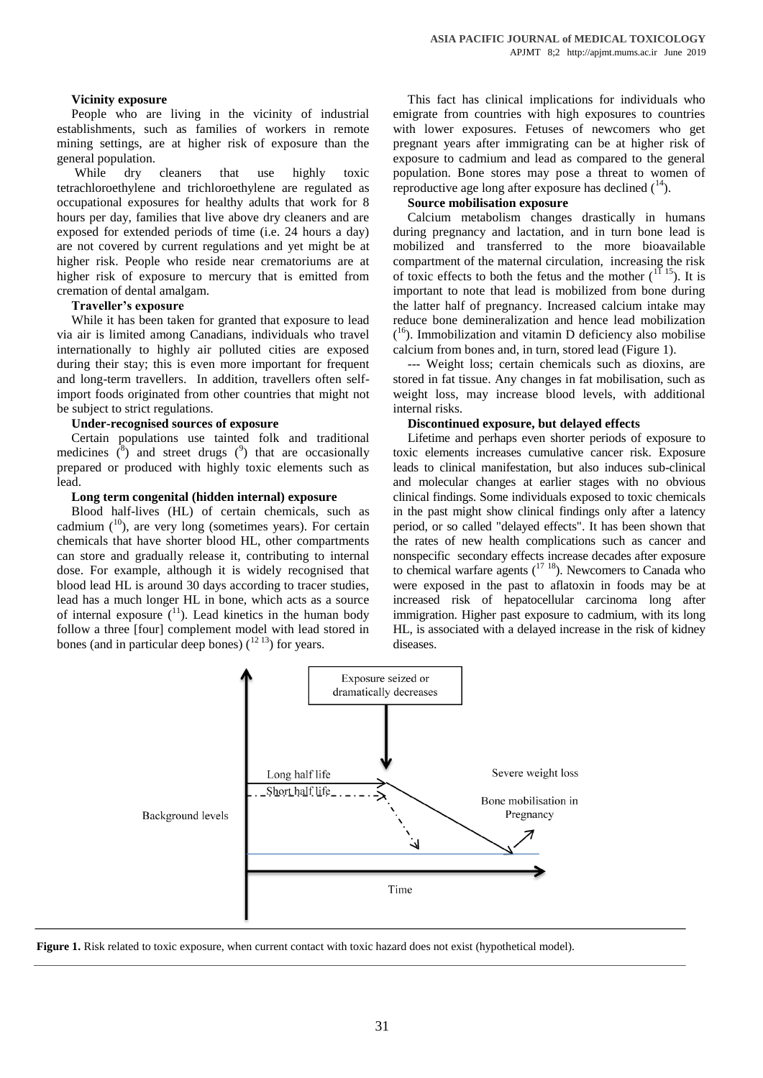#### **Vicinity exposure**

People who are living in the vicinity of industrial establishments, such as families of workers in remote mining settings, are at higher risk of exposure than the general population.

While dry cleaners that use highly toxic tetrachloroethylene and trichloroethylene are regulated as occupational exposures for healthy adults that work for 8 hours per day, families that live above dry cleaners and are exposed for extended periods of time (i.e. 24 hours a day) are not covered by current regulations and yet might be at higher risk. People who reside near crematoriums are at higher risk of exposure to mercury that is emitted from cremation of dental amalgam.

#### **Traveller's exposure**

While it has been taken for granted that exposure to lead via air is limited among Canadians, individuals who travel internationally to highly air polluted cities are exposed during their stay; this is even more important for frequent and long-term travellers. In addition, travellers often selfimport foods originated from other countries that might not be subject to strict regulations.

#### **Under-recognised sources of exposure**

Certain populations use tainted folk and traditional medicines  $\binom{8}{3}$  and street drugs  $\binom{9}{2}$  that are occasionally prepared or produced with highly toxic elements such as lead.

#### **Long term congenital (hidden internal) exposure**

Blood half-lives (HL) of certain chemicals, such as cadmium  $(10)$ , are very long (sometimes years). For certain chemicals that have shorter blood HL, other compartments can store and gradually release it, contributing to internal dose. For example, although it is widely recognised that blood lead HL is around 30 days according to tracer studies, lead has a much longer HL in bone, which acts as a source of internal exposure  $\binom{11}{1}$ . Lead kinetics in the human body follow a three [four] complement model with lead stored in bones (and in particular deep bones)  $(1213)$  for years.

This fact has clinical implications for individuals who emigrate from countries with high exposures to countries with lower exposures. Fetuses of newcomers who get pregnant years after immigrating can be at higher risk of exposure to cadmium and lead as compared to the general population. Bone stores may pose a threat to women of reproductive age long after exposure has declined  $(^{14})$ .

#### **Source mobilisation exposure**

Calcium metabolism changes drastically in humans during pregnancy and lactation, and in turn bone lead is mobilized and transferred to the more bioavailable compartment of the maternal circulation, increasing the risk of toxic effects to both the fetus and the mother  $(1115)$ . It is important to note that lead is mobilized from bone during the latter half of pregnancy. Increased calcium intake may reduce bone demineralization and hence lead mobilization  $(16)$ . Immobilization and vitamin D deficiency also mobilise calcium from bones and, in turn, stored lead (Figure 1).

--- Weight loss; certain chemicals such as dioxins, are stored in fat tissue. Any changes in fat mobilisation, such as weight loss, may increase blood levels, with additional internal risks.

#### **Discontinued exposure, but delayed effects**

Lifetime and perhaps even shorter periods of exposure to toxic elements increases cumulative cancer risk. Exposure leads to clinical manifestation, but also induces sub-clinical and molecular changes at earlier stages with no obvious clinical findings. Some individuals exposed to toxic chemicals in the past might show clinical findings only after a latency period, or so called "delayed effects". It has been shown that the rates of new health complications such as cancer and nonspecific secondary effects increase decades after exposure to chemical warfare agents  $(17 \t{18})$ . Newcomers to Canada who were exposed in the past to aflatoxin in foods may be at increased risk of hepatocellular carcinoma long after immigration. Higher past exposure to cadmium, with its long HL, is associated with a delayed increase in the risk of kidney diseases.



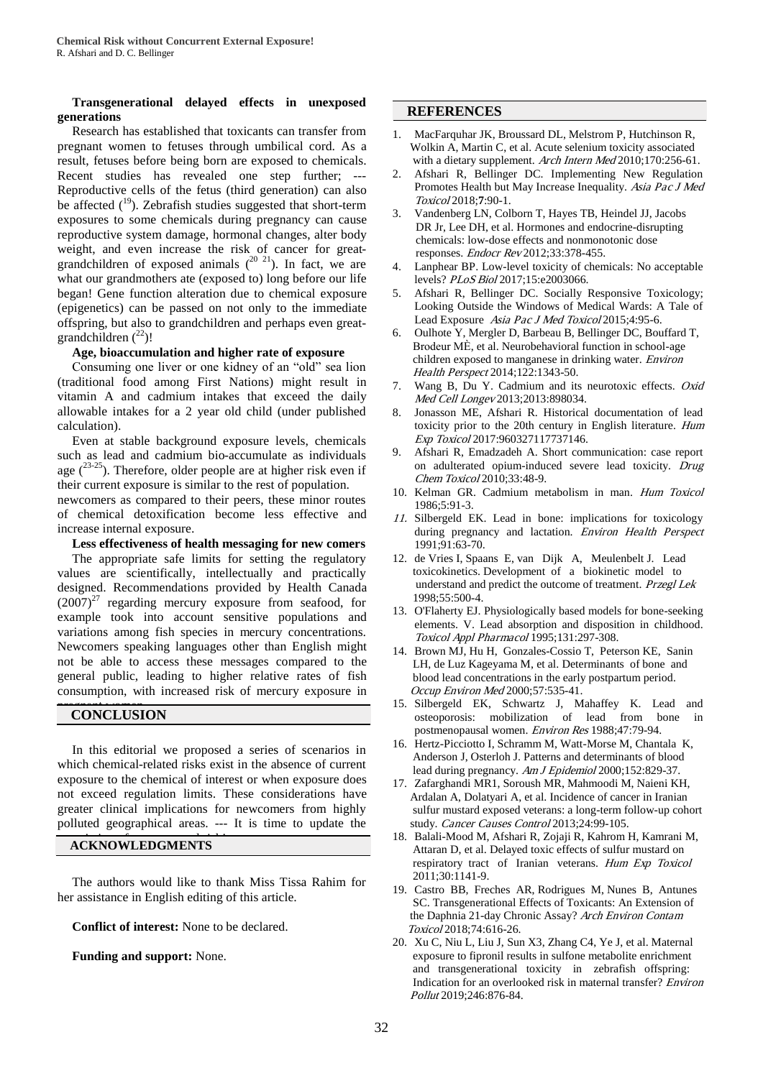#### **Transgenerational delayed effects in unexposed generations**

Research has established that toxicants can transfer from pregnant women to fetuses through umbilical cord. As a result, fetuses before being born are exposed to chemicals. Recent studies has revealed one step further; --- Reproductive cells of the fetus (third generation) can also be affected  $(19)$ . Zebrafish studies suggested that short-term exposures to some chemicals during pregnancy can cause reproductive system damage, hormonal changes, alter body weight, and even increase the risk of cancer for greatgrandchildren of exposed animals  $(20 21)$ . In fact, we are what our grandmothers ate (exposed to) long before our life began! Gene function alteration due to chemical exposure (epigenetics) can be passed on not only to the immediate offspring, but also to grandchildren and perhaps even greatgrandchildren  $(^{22})!$ 

#### **Age, bioaccumulation and higher rate of exposure**

Consuming one liver or one kidney of an "old" sea lion (traditional food among First Nations) might result in vitamin A and cadmium intakes that exceed the daily allowable intakes for a 2 year old child (under published calculation).

Even at stable background exposure levels, chemicals such as lead and cadmium bio-accumulate as individuals age  $(23-25)$ . Therefore, older people are at higher risk even if their current exposure is similar to the rest of population.

newcomers as compared to their peers, these minor routes of chemical detoxification become less effective and increase internal exposure.

#### **Less effectiveness of health messaging for new comers**

The appropriate safe limits for setting the regulatory values are scientifically, intellectually and practically designed. Recommendations provided by Health Canada  $(2007)^{27}$  regarding mercury exposure from seafood, for example took into account sensitive populations and variations among fish species in mercury concentrations. Newcomers speaking languages other than English might not be able to access these messages compared to the general public, leading to higher relative rates of fish consumption, with increased risk of mercury exposure in

## **CONCLUSION**

In this editorial we proposed a series of scenarios in which chemical-related risks exist in the absence of current exposure to the chemical of interest or when exposure does not exceed regulation limits. These considerations have greater clinical implications for newcomers from highly polluted geographical areas. --- It is time to update the

### **ACKNOWLEDGMENTS**

The authors would like to thank Miss Tissa Rahim for her assistance in English editing of this article.

**Conflict of interest:** None to be declared.

**Funding and support:** None.

#### **REFERENCES**

- 1. MacFarquhar JK, Broussard DL, Melstrom P, Hutchinson R, Wolkin A, Martin C, et al. Acute selenium toxicity associated with a dietary supplement. Arch Intern Med 2010;170:256-61.
- 2. Afshari R, Bellinger DC. Implementing New Regulation Promotes Health but May Increase Inequality. Asia Pac J Med Toxicol 2018;**7**:90-1.
- 3. Vandenberg LN, Colborn T, Hayes TB, Heindel JJ, Jacobs DR Jr, Lee DH, et al. Hormones and endocrine-disrupting chemicals: low-dose effects and nonmonotonic dose responses. Endocr Rev 2012;33:378-455.
- 4. Lanphear BP. Low-level toxicity of chemicals: No acceptable levels? PLoS Biol 2017;15:e2003066.
- 5. Afshari R, Bellinger DC. Socially Responsive Toxicology; Looking Outside the Windows of Medical Wards: A Tale of Lead Exposure Asia Pac J Med Toxicol 2015;4:95-6.
- 6. Oulhote Y, Mergler D, Barbeau B, Bellinger DC, Bouffard T, Brodeur MÈ, et al. Neurobehavioral function in school-age children exposed to manganese in drinking water. Environ Health Perspect 2014;122:1343-50.
- 7. Wang B, Du Y. Cadmium and its neurotoxic effects. Oxid Med Cell Longev 2013;2013:898034.
- 8. Jonasson ME, Afshari R. Historical documentation of lead toxicity prior to the 20th century in English literature. Hum Exp Toxicol 2017:960327117737146.
- 9. Afshari R, Emadzadeh A. Short communication: case report on adulterated opium-induced severe lead toxicity. Drug Chem Toxicol 2010;33:48-9.
- 10. Kelman GR. Cadmium metabolism in man. Hum Toxicol 1986;5:91-3.
- 11. Silbergeld EK. Lead in bone: implications for toxicology during pregnancy and lactation. Environ Health Perspect 1991;91:63-70.
- 12. de Vries I, Spaans E, van Dijk A, Meulenbelt J. Lead toxicokinetics. Development of a biokinetic model to understand and predict the outcome of treatment. Przegl Lek 1998;55:500-4.
- 13. O'Flaherty EJ. Physiologically based models for bone-seeking elements. V. Lead absorption and disposition in childhood. Toxicol Appl Pharmacol 1995;131:297-308.
- 14. Brown MJ, Hu H, Gonzales-Cossio T, Peterson KE, Sanin LH, de Luz Kageyama M, et al. Determinants of bone and blood lead concentrations in the early postpartum period. Occup Environ Med 2000;57:535-41.
- 15. Silbergeld EK, Schwartz J, Mahaffey K. Lead and osteoporosis: mobilization of lead from bone in postmenopausal women. Environ Res 1988;47:79-94.
- 16. Hertz-Picciotto I, Schramm M, Watt-Morse M, Chantala K, Anderson J, Osterloh J. Patterns and determinants of blood lead during pregnancy. Am J Epidemiol 2000;152:829-37.
- 17. Zafarghandi MR1, Soroush MR, Mahmoodi M, Naieni KH, Ardalan A, Dolatyari A, et al. Incidence of cancer in Iranian sulfur mustard exposed veterans: a long-term follow-up cohort study. Cancer Causes Control 2013;24:99-105.
- 18. Balali-Mood M, Afshari R, Zojaji R, Kahrom H, Kamrani M, Attaran D, et al. Delayed toxic effects of sulfur mustard on respiratory tract of Iranian veterans. Hum Exp Toxicol 2011;30:1141-9.
- 19. Castro BB, Freches AR, Rodrigues M, Nunes B, Antunes SC. Transgenerational Effects of Toxicants: An Extension of the Daphnia 21-day Chronic Assay? Arch Environ Contam Toxicol 2018;74:616-26.
- 20. Xu C, Niu L, Liu J, Sun X3, Zhang C4, Ye J, et al. Maternal exposure to fipronil results in sulfone metabolite enrichment and transgenerational toxicity in zebrafish offspring: Indication for an overlooked risk in maternal transfer? Environ Pollut 2019;246:876-84.